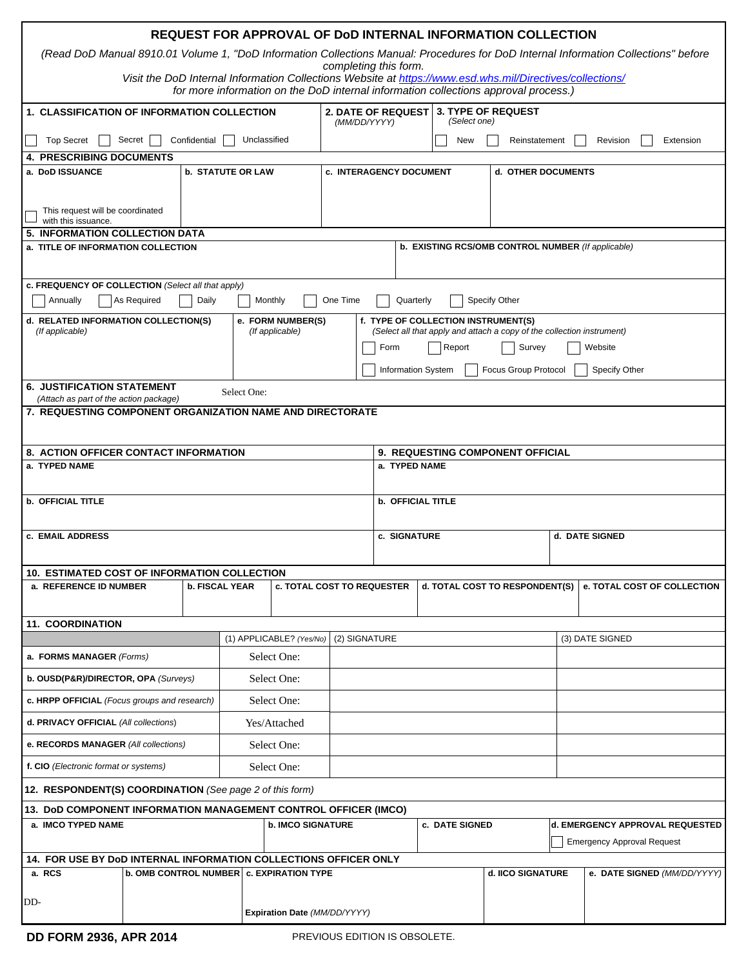| REQUEST FOR APPROVAL OF DOD INTERNAL INFORMATION COLLECTION                                                                                                                                      |  |                          |                                           |  |                                                                                                               |                                           |                                                                    |                                           |                          |  |                                 |        |                             |                 |           |  |  |  |
|--------------------------------------------------------------------------------------------------------------------------------------------------------------------------------------------------|--|--------------------------|-------------------------------------------|--|---------------------------------------------------------------------------------------------------------------|-------------------------------------------|--------------------------------------------------------------------|-------------------------------------------|--------------------------|--|---------------------------------|--------|-----------------------------|-----------------|-----------|--|--|--|
| (Read DoD Manual 8910.01 Volume 1, "DoD Information Collections Manual: Procedures for DoD Internal Information Collections" before                                                              |  |                          |                                           |  |                                                                                                               |                                           |                                                                    |                                           |                          |  |                                 |        |                             |                 |           |  |  |  |
|                                                                                                                                                                                                  |  |                          |                                           |  |                                                                                                               | completing this form.                     |                                                                    |                                           |                          |  |                                 |        |                             |                 |           |  |  |  |
| Visit the DoD Internal Information Collections Website at https://www.esd.whs.mil/Directives/collections/<br>for more information on the DoD internal information collections approval process.) |  |                          |                                           |  |                                                                                                               |                                           |                                                                    |                                           |                          |  |                                 |        |                             |                 |           |  |  |  |
| <b>1. CLASSIFICATION OF INFORMATION COLLECTION</b>                                                                                                                                               |  |                          |                                           |  |                                                                                                               | <b>2. DATE OF REQUEST</b><br>(MM/DD/YYYY) |                                                                    | <b>3. TYPE OF REQUEST</b><br>(Select one) |                          |  |                                 |        |                             |                 |           |  |  |  |
| Secret<br>Unclassified<br><b>Top Secret</b><br>Confidential                                                                                                                                      |  |                          |                                           |  | <b>New</b><br>Reinstatement                                                                                   |                                           |                                                                    |                                           |                          |  |                                 |        | Revision                    |                 | Extension |  |  |  |
| <b>4. PRESCRIBING DOCUMENTS</b>                                                                                                                                                                  |  |                          |                                           |  |                                                                                                               |                                           |                                                                    |                                           |                          |  |                                 |        |                             |                 |           |  |  |  |
| <b>b. STATUTE OR LAW</b><br>a. DoD ISSUANCE                                                                                                                                                      |  |                          |                                           |  |                                                                                                               | c. INTERAGENCY DOCUMENT                   |                                                                    |                                           |                          |  |                                 |        | d. OTHER DOCUMENTS          |                 |           |  |  |  |
|                                                                                                                                                                                                  |  |                          |                                           |  |                                                                                                               |                                           |                                                                    |                                           |                          |  |                                 |        |                             |                 |           |  |  |  |
| This request will be coordinated<br>with this issuance.                                                                                                                                          |  |                          |                                           |  |                                                                                                               |                                           |                                                                    |                                           |                          |  |                                 |        |                             |                 |           |  |  |  |
| <b>5. INFORMATION COLLECTION DATA</b>                                                                                                                                                            |  |                          |                                           |  |                                                                                                               |                                           |                                                                    |                                           |                          |  |                                 |        |                             |                 |           |  |  |  |
| b. EXISTING RCS/OMB CONTROL NUMBER (If applicable)<br>a. TITLE OF INFORMATION COLLECTION                                                                                                         |  |                          |                                           |  |                                                                                                               |                                           |                                                                    |                                           |                          |  |                                 |        |                             |                 |           |  |  |  |
|                                                                                                                                                                                                  |  |                          |                                           |  |                                                                                                               |                                           |                                                                    |                                           |                          |  |                                 |        |                             |                 |           |  |  |  |
| c. FREQUENCY OF COLLECTION (Select all that apply)                                                                                                                                               |  |                          |                                           |  |                                                                                                               |                                           |                                                                    |                                           |                          |  |                                 |        |                             |                 |           |  |  |  |
| As Required<br>Daily<br>Specify Other<br>Annually<br>Monthly<br>One Time<br>Quarterly                                                                                                            |  |                          |                                           |  |                                                                                                               |                                           |                                                                    |                                           |                          |  |                                 |        |                             |                 |           |  |  |  |
| d. RELATED INFORMATION COLLECTION(S)<br>e. FORM NUMBER(S)<br>(If applicable)<br>(If applicable)                                                                                                  |  |                          |                                           |  | f. TYPE OF COLLECTION INSTRUMENT(S)<br>(Select all that apply and attach a copy of the collection instrument) |                                           |                                                                    |                                           |                          |  |                                 |        |                             |                 |           |  |  |  |
|                                                                                                                                                                                                  |  |                          |                                           |  |                                                                                                               | Form                                      |                                                                    |                                           | Report                   |  |                                 | Survey |                             |                 | Website   |  |  |  |
|                                                                                                                                                                                                  |  |                          |                                           |  |                                                                                                               |                                           |                                                                    |                                           |                          |  |                                 |        |                             |                 |           |  |  |  |
| <b>6. JUSTIFICATION STATEMENT</b>                                                                                                                                                                |  |                          |                                           |  |                                                                                                               |                                           | <b>Information System</b><br>Focus Group Protocol<br>Specify Other |                                           |                          |  |                                 |        |                             |                 |           |  |  |  |
| (Attach as part of the action package)                                                                                                                                                           |  |                          | Select One:                               |  |                                                                                                               |                                           |                                                                    |                                           |                          |  |                                 |        |                             |                 |           |  |  |  |
| <b>7. REQUESTING COMPONENT ORGANIZATION NAME AND DIRECTORATE</b>                                                                                                                                 |  |                          |                                           |  |                                                                                                               |                                           |                                                                    |                                           |                          |  |                                 |        |                             |                 |           |  |  |  |
|                                                                                                                                                                                                  |  |                          |                                           |  |                                                                                                               |                                           |                                                                    |                                           |                          |  |                                 |        |                             |                 |           |  |  |  |
| 8. ACTION OFFICER CONTACT INFORMATION                                                                                                                                                            |  |                          |                                           |  |                                                                                                               | <b>9. REQUESTING COMPONENT OFFICIAL</b>   |                                                                    |                                           |                          |  |                                 |        |                             |                 |           |  |  |  |
| a. TYPED NAME                                                                                                                                                                                    |  |                          |                                           |  |                                                                                                               |                                           | a. TYPED NAME                                                      |                                           |                          |  |                                 |        |                             |                 |           |  |  |  |
|                                                                                                                                                                                                  |  |                          |                                           |  |                                                                                                               |                                           |                                                                    |                                           |                          |  |                                 |        |                             |                 |           |  |  |  |
| <b>b. OFFICIAL TITLE</b>                                                                                                                                                                         |  |                          |                                           |  |                                                                                                               | <b>b. OFFICIAL TITLE</b>                  |                                                                    |                                           |                          |  |                                 |        |                             |                 |           |  |  |  |
| c. EMAIL ADDRESS                                                                                                                                                                                 |  |                          |                                           |  |                                                                                                               |                                           | c. SIGNATURE<br>d. DATE SIGNED                                     |                                           |                          |  |                                 |        |                             |                 |           |  |  |  |
|                                                                                                                                                                                                  |  |                          |                                           |  |                                                                                                               |                                           |                                                                    |                                           |                          |  |                                 |        |                             |                 |           |  |  |  |
| 10. ESTIMATED COST OF INFORMATION COLLECTION                                                                                                                                                     |  |                          |                                           |  |                                                                                                               |                                           |                                                                    |                                           |                          |  |                                 |        |                             |                 |           |  |  |  |
| a. REFERENCE ID NUMBER<br><b>b. FISCAL YEAR</b>                                                                                                                                                  |  |                          | <b>c. TOTAL COST TO REQUESTER</b>         |  |                                                                                                               |                                           | d. TOTAL COST TO RESPONDENT(S)                                     |                                           |                          |  |                                 |        | e. TOTAL COST OF COLLECTION |                 |           |  |  |  |
|                                                                                                                                                                                                  |  |                          |                                           |  |                                                                                                               |                                           |                                                                    |                                           |                          |  |                                 |        |                             |                 |           |  |  |  |
| <b>11. COORDINATION</b>                                                                                                                                                                          |  |                          |                                           |  |                                                                                                               |                                           |                                                                    |                                           |                          |  |                                 |        |                             |                 |           |  |  |  |
|                                                                                                                                                                                                  |  |                          | (2) SIGNATURE<br>(1) APPLICABLE? (Yes/No) |  |                                                                                                               |                                           |                                                                    |                                           |                          |  |                                 |        |                             | (3) DATE SIGNED |           |  |  |  |
| a. FORMS MANAGER (Forms)                                                                                                                                                                         |  |                          | Select One:                               |  |                                                                                                               |                                           |                                                                    |                                           |                          |  |                                 |        |                             |                 |           |  |  |  |
| b. OUSD(P&R)/DIRECTOR, OPA (Surveys)                                                                                                                                                             |  |                          | Select One:                               |  |                                                                                                               |                                           |                                                                    |                                           |                          |  |                                 |        |                             |                 |           |  |  |  |
| c. HRPP OFFICIAL (Focus groups and research)                                                                                                                                                     |  |                          | Select One:                               |  |                                                                                                               |                                           |                                                                    |                                           |                          |  |                                 |        |                             |                 |           |  |  |  |
| d. PRIVACY OFFICIAL (All collections)                                                                                                                                                            |  |                          | Yes/Attached                              |  |                                                                                                               |                                           |                                                                    |                                           |                          |  |                                 |        |                             |                 |           |  |  |  |
| e. RECORDS MANAGER (All collections)                                                                                                                                                             |  |                          | Select One:                               |  |                                                                                                               |                                           |                                                                    |                                           |                          |  |                                 |        |                             |                 |           |  |  |  |
| f. CIO (Electronic format or systems)                                                                                                                                                            |  |                          | Select One:                               |  |                                                                                                               |                                           |                                                                    |                                           |                          |  |                                 |        |                             |                 |           |  |  |  |
| 12. RESPONDENT(S) COORDINATION (See page 2 of this form)                                                                                                                                         |  |                          |                                           |  |                                                                                                               |                                           |                                                                    |                                           |                          |  |                                 |        |                             |                 |           |  |  |  |
| 13. DoD COMPONENT INFORMATION MANAGEMENT CONTROL OFFICER (IMCO)                                                                                                                                  |  |                          |                                           |  |                                                                                                               |                                           |                                                                    |                                           |                          |  |                                 |        |                             |                 |           |  |  |  |
| a. IMCO TYPED NAME                                                                                                                                                                               |  | <b>b. IMCO SIGNATURE</b> |                                           |  |                                                                                                               | c. DATE SIGNED                            |                                                                    |                                           |                          |  | d. EMERGENCY APPROVAL REQUESTED |        |                             |                 |           |  |  |  |
| <b>Emergency Approval Request</b>                                                                                                                                                                |  |                          |                                           |  |                                                                                                               |                                           |                                                                    |                                           |                          |  |                                 |        |                             |                 |           |  |  |  |
| 14. FOR USE BY DoD INTERNAL INFORMATION COLLECTIONS OFFICER ONLY<br>b. OMB CONTROL NUMBER   c. EXPIRATION TYPE<br>a. RCS<br>d. IICO SIGNATURE                                                    |  |                          |                                           |  |                                                                                                               |                                           |                                                                    | e. DATE SIGNED (MM/DD/YYYY)               |                          |  |                                 |        |                             |                 |           |  |  |  |
|                                                                                                                                                                                                  |  |                          |                                           |  |                                                                                                               |                                           |                                                                    |                                           | $\vert \textbf{y} \vert$ |  |                                 |        |                             |                 |           |  |  |  |
| DD-                                                                                                                                                                                              |  |                          |                                           |  |                                                                                                               |                                           |                                                                    |                                           |                          |  |                                 |        |                             |                 |           |  |  |  |
| Expiration Date (MM/DD/YYYY)                                                                                                                                                                     |  |                          |                                           |  |                                                                                                               |                                           |                                                                    |                                           |                          |  |                                 |        |                             |                 |           |  |  |  |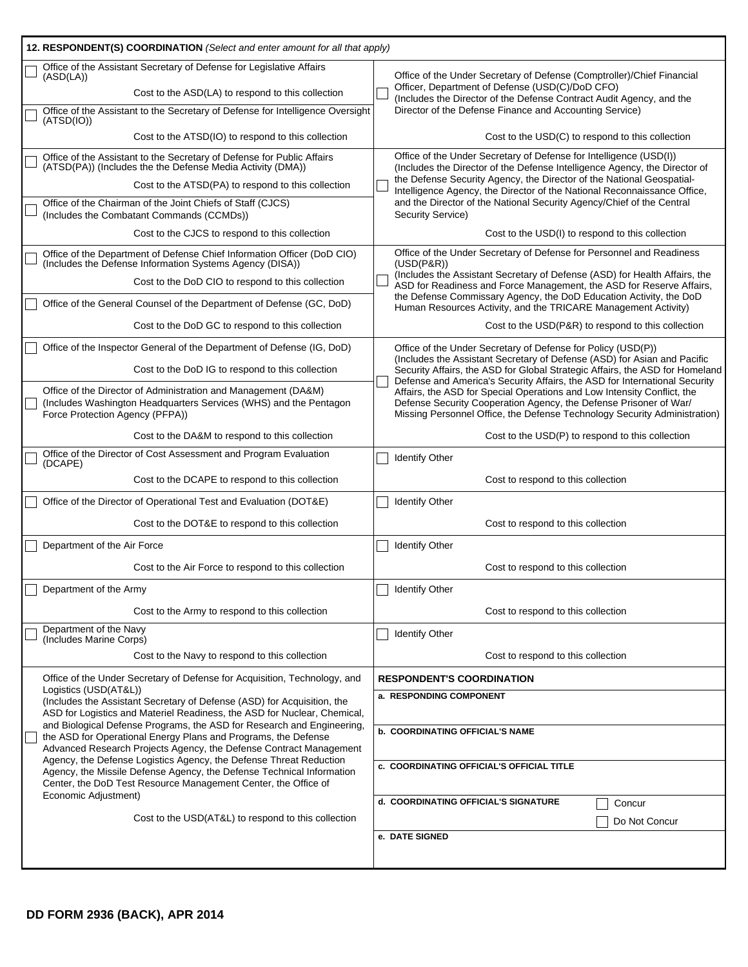| 12. RESPONDENT(S) COORDINATION (Select and enter amount for all that apply)                                                                                                                                          |                                                                                                                                                                                                                                                                                                                                                                                                     |  |  |  |  |  |  |  |  |
|----------------------------------------------------------------------------------------------------------------------------------------------------------------------------------------------------------------------|-----------------------------------------------------------------------------------------------------------------------------------------------------------------------------------------------------------------------------------------------------------------------------------------------------------------------------------------------------------------------------------------------------|--|--|--|--|--|--|--|--|
| Office of the Assistant Secretary of Defense for Legislative Affairs<br>(ASD(LA))                                                                                                                                    | Office of the Under Secretary of Defense (Comptroller)/Chief Financial<br>Officer, Department of Defense (USD(C)/DoD CFO)<br>(Includes the Director of the Defense Contract Audit Agency, and the<br>Director of the Defense Finance and Accounting Service)                                                                                                                                        |  |  |  |  |  |  |  |  |
| Cost to the ASD(LA) to respond to this collection                                                                                                                                                                    |                                                                                                                                                                                                                                                                                                                                                                                                     |  |  |  |  |  |  |  |  |
| Office of the Assistant to the Secretary of Defense for Intelligence Oversight<br>(ATSD(IO))                                                                                                                         |                                                                                                                                                                                                                                                                                                                                                                                                     |  |  |  |  |  |  |  |  |
| Cost to the ATSD(IO) to respond to this collection                                                                                                                                                                   | Cost to the USD(C) to respond to this collection                                                                                                                                                                                                                                                                                                                                                    |  |  |  |  |  |  |  |  |
| Office of the Assistant to the Secretary of Defense for Public Affairs<br>(ATSD(PA)) (Includes the the Defense Media Activity (DMA))                                                                                 | Office of the Under Secretary of Defense for Intelligence (USD(I))<br>(Includes the Director of the Defense Intelligence Agency, the Director of<br>the Defense Security Agency, the Director of the National Geospatial-<br>Intelligence Agency, the Director of the National Reconnaissance Office,<br>and the Director of the National Security Agency/Chief of the Central<br>Security Service) |  |  |  |  |  |  |  |  |
| Cost to the ATSD(PA) to respond to this collection                                                                                                                                                                   |                                                                                                                                                                                                                                                                                                                                                                                                     |  |  |  |  |  |  |  |  |
| Office of the Chairman of the Joint Chiefs of Staff (CJCS)<br>(Includes the Combatant Commands (CCMDs))                                                                                                              |                                                                                                                                                                                                                                                                                                                                                                                                     |  |  |  |  |  |  |  |  |
| Cost to the CJCS to respond to this collection                                                                                                                                                                       | Cost to the USD(I) to respond to this collection                                                                                                                                                                                                                                                                                                                                                    |  |  |  |  |  |  |  |  |
| Office of the Department of Defense Chief Information Officer (DoD CIO)<br>(Includes the Defense Information Systems Agency (DISA))                                                                                  | Office of the Under Secretary of Defense for Personnel and Readiness<br>$(USD(P\&R))$                                                                                                                                                                                                                                                                                                               |  |  |  |  |  |  |  |  |
| Cost to the DoD CIO to respond to this collection                                                                                                                                                                    | (Includes the Assistant Secretary of Defense (ASD) for Health Affairs, the<br>ASD for Readiness and Force Management, the ASD for Reserve Affairs,                                                                                                                                                                                                                                                  |  |  |  |  |  |  |  |  |
| Office of the General Counsel of the Department of Defense (GC, DoD)                                                                                                                                                 | the Defense Commissary Agency, the DoD Education Activity, the DoD<br>Human Resources Activity, and the TRICARE Management Activity)                                                                                                                                                                                                                                                                |  |  |  |  |  |  |  |  |
| Cost to the DoD GC to respond to this collection                                                                                                                                                                     | Cost to the USD(P&R) to respond to this collection                                                                                                                                                                                                                                                                                                                                                  |  |  |  |  |  |  |  |  |
| Office of the Inspector General of the Department of Defense (IG, DoD)                                                                                                                                               | Office of the Under Secretary of Defense for Policy (USD(P))<br>(Includes the Assistant Secretary of Defense (ASD) for Asian and Pacific                                                                                                                                                                                                                                                            |  |  |  |  |  |  |  |  |
| Cost to the DoD IG to respond to this collection                                                                                                                                                                     | Security Affairs, the ASD for Global Strategic Affairs, the ASD for Homeland<br>Defense and America's Security Affairs, the ASD for International Security                                                                                                                                                                                                                                          |  |  |  |  |  |  |  |  |
| Office of the Director of Administration and Management (DA&M)<br>(Includes Washington Headquarters Services (WHS) and the Pentagon<br>Force Protection Agency (PFPA))                                               | Affairs, the ASD for Special Operations and Low Intensity Conflict, the<br>Defense Security Cooperation Agency, the Defense Prisoner of War/<br>Missing Personnel Office, the Defense Technology Security Administration)                                                                                                                                                                           |  |  |  |  |  |  |  |  |
| Cost to the DA&M to respond to this collection                                                                                                                                                                       | Cost to the USD(P) to respond to this collection                                                                                                                                                                                                                                                                                                                                                    |  |  |  |  |  |  |  |  |
| Office of the Director of Cost Assessment and Program Evaluation<br>(DCAPE)                                                                                                                                          | <b>Identify Other</b>                                                                                                                                                                                                                                                                                                                                                                               |  |  |  |  |  |  |  |  |
| Cost to the DCAPE to respond to this collection                                                                                                                                                                      | Cost to respond to this collection                                                                                                                                                                                                                                                                                                                                                                  |  |  |  |  |  |  |  |  |
| Office of the Director of Operational Test and Evaluation (DOT&E)                                                                                                                                                    | <b>Identify Other</b>                                                                                                                                                                                                                                                                                                                                                                               |  |  |  |  |  |  |  |  |
| Cost to the DOT&E to respond to this collection                                                                                                                                                                      | Cost to respond to this collection                                                                                                                                                                                                                                                                                                                                                                  |  |  |  |  |  |  |  |  |
| Department of the Air Force                                                                                                                                                                                          | <b>Identify Other</b>                                                                                                                                                                                                                                                                                                                                                                               |  |  |  |  |  |  |  |  |
| Cost to the Air Force to respond to this collection                                                                                                                                                                  | Cost to respond to this collection                                                                                                                                                                                                                                                                                                                                                                  |  |  |  |  |  |  |  |  |
| Department of the Army                                                                                                                                                                                               | Identify Other                                                                                                                                                                                                                                                                                                                                                                                      |  |  |  |  |  |  |  |  |
| Cost to the Army to respond to this collection                                                                                                                                                                       | Cost to respond to this collection                                                                                                                                                                                                                                                                                                                                                                  |  |  |  |  |  |  |  |  |
| Department of the Navy<br>(Includes Marine Corps)                                                                                                                                                                    | <b>Identify Other</b>                                                                                                                                                                                                                                                                                                                                                                               |  |  |  |  |  |  |  |  |
| Cost to the Navy to respond to this collection                                                                                                                                                                       | Cost to respond to this collection                                                                                                                                                                                                                                                                                                                                                                  |  |  |  |  |  |  |  |  |
| Office of the Under Secretary of Defense for Acquisition, Technology, and                                                                                                                                            | <b>RESPONDENT'S COORDINATION</b>                                                                                                                                                                                                                                                                                                                                                                    |  |  |  |  |  |  |  |  |
| Logistics (USD(AT&L))<br>(Includes the Assistant Secretary of Defense (ASD) for Acquisition, the                                                                                                                     | a. RESPONDING COMPONENT                                                                                                                                                                                                                                                                                                                                                                             |  |  |  |  |  |  |  |  |
| ASD for Logistics and Materiel Readiness, the ASD for Nuclear, Chemical,<br>and Biological Defense Programs, the ASD for Research and Engineering,<br>the ASD for Operational Energy Plans and Programs, the Defense | <b>b. COORDINATING OFFICIAL'S NAME</b><br><b>c. COORDINATING OFFICIAL'S OFFICIAL TITLE</b>                                                                                                                                                                                                                                                                                                          |  |  |  |  |  |  |  |  |
| Advanced Research Projects Agency, the Defense Contract Management<br>Agency, the Defense Logistics Agency, the Defense Threat Reduction                                                                             |                                                                                                                                                                                                                                                                                                                                                                                                     |  |  |  |  |  |  |  |  |
| Agency, the Missile Defense Agency, the Defense Technical Information<br>Center, the DoD Test Resource Management Center, the Office of<br>Economic Adjustment)                                                      |                                                                                                                                                                                                                                                                                                                                                                                                     |  |  |  |  |  |  |  |  |
|                                                                                                                                                                                                                      | d. COORDINATING OFFICIAL'S SIGNATURE<br>Concur                                                                                                                                                                                                                                                                                                                                                      |  |  |  |  |  |  |  |  |
| Cost to the USD(AT&L) to respond to this collection                                                                                                                                                                  | Do Not Concur<br>e. DATE SIGNED                                                                                                                                                                                                                                                                                                                                                                     |  |  |  |  |  |  |  |  |
|                                                                                                                                                                                                                      |                                                                                                                                                                                                                                                                                                                                                                                                     |  |  |  |  |  |  |  |  |
|                                                                                                                                                                                                                      |                                                                                                                                                                                                                                                                                                                                                                                                     |  |  |  |  |  |  |  |  |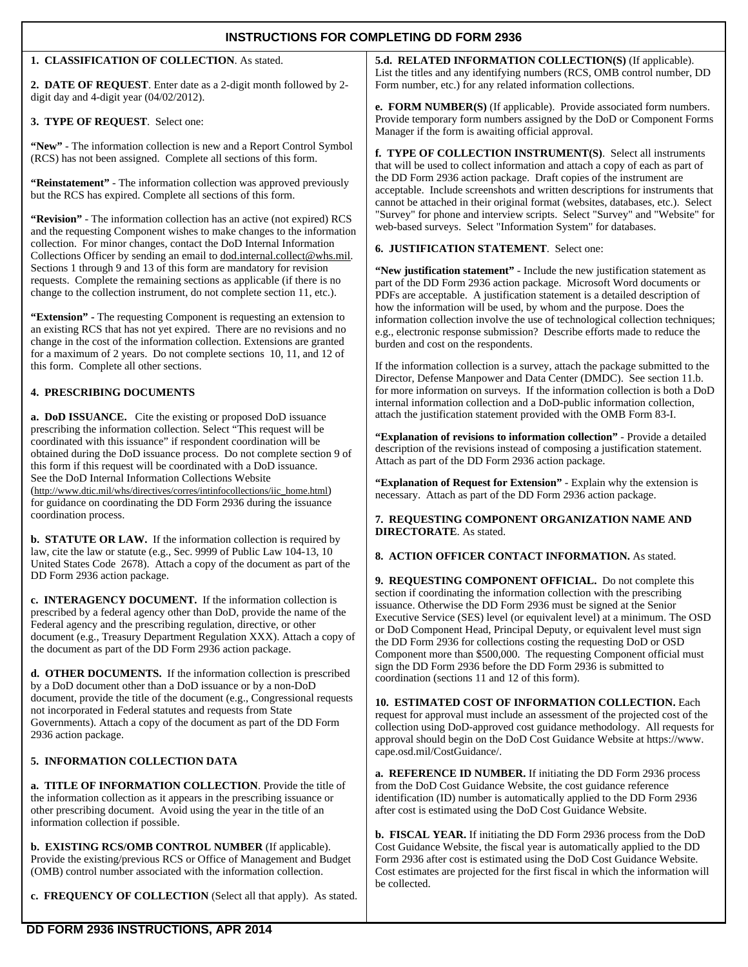| <b>INSTRUCTIONS FOR COMPLETING DD FORM 2936</b>                                                                                                                                                                                                                                                                                                                                                                                                          |                                                                                                                                                                                                                                                                                                                                                                                                                                                                                                                                                                                                                                  |  |  |  |  |  |  |  |  |
|----------------------------------------------------------------------------------------------------------------------------------------------------------------------------------------------------------------------------------------------------------------------------------------------------------------------------------------------------------------------------------------------------------------------------------------------------------|----------------------------------------------------------------------------------------------------------------------------------------------------------------------------------------------------------------------------------------------------------------------------------------------------------------------------------------------------------------------------------------------------------------------------------------------------------------------------------------------------------------------------------------------------------------------------------------------------------------------------------|--|--|--|--|--|--|--|--|
| 1. CLASSIFICATION OF COLLECTION. As stated.<br>2. DATE OF REQUEST. Enter date as a 2-digit month followed by 2-                                                                                                                                                                                                                                                                                                                                          | 5.d. RELATED INFORMATION COLLECTION(S) (If applicable).<br>List the titles and any identifying numbers (RCS, OMB control number, DD<br>Form number, etc.) for any related information collections.                                                                                                                                                                                                                                                                                                                                                                                                                               |  |  |  |  |  |  |  |  |
| digit day and 4-digit year (04/02/2012).                                                                                                                                                                                                                                                                                                                                                                                                                 | e. FORM NUMBER(S) (If applicable). Provide associated form numbers.                                                                                                                                                                                                                                                                                                                                                                                                                                                                                                                                                              |  |  |  |  |  |  |  |  |
| 3. TYPE OF REQUEST. Select one:                                                                                                                                                                                                                                                                                                                                                                                                                          | Provide temporary form numbers assigned by the DoD or Component Forms<br>Manager if the form is awaiting official approval.                                                                                                                                                                                                                                                                                                                                                                                                                                                                                                      |  |  |  |  |  |  |  |  |
| "New" - The information collection is new and a Report Control Symbol<br>(RCS) has not been assigned. Complete all sections of this form.                                                                                                                                                                                                                                                                                                                | f. TYPE OF COLLECTION INSTRUMENT(S). Select all instruments<br>that will be used to collect information and attach a copy of each as part of                                                                                                                                                                                                                                                                                                                                                                                                                                                                                     |  |  |  |  |  |  |  |  |
| "Reinstatement" - The information collection was approved previously<br>but the RCS has expired. Complete all sections of this form.                                                                                                                                                                                                                                                                                                                     | the DD Form 2936 action package. Draft copies of the instrument are<br>acceptable. Include screenshots and written descriptions for instruments that<br>cannot be attached in their original format (websites, databases, etc.). Select                                                                                                                                                                                                                                                                                                                                                                                          |  |  |  |  |  |  |  |  |
| "Revision" - The information collection has an active (not expired) RCS<br>and the requesting Component wishes to make changes to the information                                                                                                                                                                                                                                                                                                        | "Survey" for phone and interview scripts. Select "Survey" and "Website" for<br>web-based surveys. Select "Information System" for databases.                                                                                                                                                                                                                                                                                                                                                                                                                                                                                     |  |  |  |  |  |  |  |  |
| collection. For minor changes, contact the DoD Internal Information<br>Collections Officer by sending an email to dod.internal.collect@whs.mil.                                                                                                                                                                                                                                                                                                          | 6. JUSTIFICATION STATEMENT. Select one:                                                                                                                                                                                                                                                                                                                                                                                                                                                                                                                                                                                          |  |  |  |  |  |  |  |  |
| Sections 1 through 9 and 13 of this form are mandatory for revision<br>requests. Complete the remaining sections as applicable (if there is no<br>change to the collection instrument, do not complete section 11, etc.).                                                                                                                                                                                                                                | "New justification statement" - Include the new justification statement as<br>part of the DD Form 2936 action package. Microsoft Word documents or<br>PDFs are acceptable. A justification statement is a detailed description of<br>how the information will be used, by whom and the purpose. Does the                                                                                                                                                                                                                                                                                                                         |  |  |  |  |  |  |  |  |
| "Extension" - The requesting Component is requesting an extension to<br>an existing RCS that has not yet expired. There are no revisions and no<br>change in the cost of the information collection. Extensions are granted<br>for a maximum of 2 years. Do not complete sections 10, 11, and 12 of                                                                                                                                                      | information collection involve the use of technological collection techniques;<br>e.g., electronic response submission? Describe efforts made to reduce the<br>burden and cost on the respondents.                                                                                                                                                                                                                                                                                                                                                                                                                               |  |  |  |  |  |  |  |  |
| this form. Complete all other sections.                                                                                                                                                                                                                                                                                                                                                                                                                  | If the information collection is a survey, attach the package submitted to the<br>Director, Defense Manpower and Data Center (DMDC). See section 11.b.                                                                                                                                                                                                                                                                                                                                                                                                                                                                           |  |  |  |  |  |  |  |  |
| <b>4. PRESCRIBING DOCUMENTS</b><br>a. DoD ISSUANCE. Cite the existing or proposed DoD issuance                                                                                                                                                                                                                                                                                                                                                           | for more information on surveys. If the information collection is both a DoD<br>internal information collection and a DoD-public information collection,<br>attach the justification statement provided with the OMB Form 83-I.<br>"Explanation of revisions to information collection" - Provide a detailed<br>description of the revisions instead of composing a justification statement.<br>Attach as part of the DD Form 2936 action package.                                                                                                                                                                               |  |  |  |  |  |  |  |  |
| prescribing the information collection. Select "This request will be<br>coordinated with this issuance" if respondent coordination will be<br>obtained during the DoD issuance process. Do not complete section 9 of<br>this form if this request will be coordinated with a DoD issuance.                                                                                                                                                               |                                                                                                                                                                                                                                                                                                                                                                                                                                                                                                                                                                                                                                  |  |  |  |  |  |  |  |  |
| See the DoD Internal Information Collections Website<br>(http://www.dtic.mil/whs/directives/corres/intinfocollections/iic_home.html)<br>for guidance on coordinating the DD Form 2936 during the issuance                                                                                                                                                                                                                                                | "Explanation of Request for Extension" - Explain why the extension is<br>necessary. Attach as part of the DD Form 2936 action package.                                                                                                                                                                                                                                                                                                                                                                                                                                                                                           |  |  |  |  |  |  |  |  |
| coordination process.<br>b. STATUTE OR LAW. If the information collection is required by                                                                                                                                                                                                                                                                                                                                                                 | 7. REQUESTING COMPONENT ORGANIZATION NAME AND<br><b>DIRECTORATE.</b> As stated.                                                                                                                                                                                                                                                                                                                                                                                                                                                                                                                                                  |  |  |  |  |  |  |  |  |
| law, cite the law or statute (e.g., Sec. 9999 of Public Law 104-13, 10<br>United States Code 2678). Attach a copy of the document as part of the                                                                                                                                                                                                                                                                                                         | 8. ACTION OFFICER CONTACT INFORMATION. As stated.                                                                                                                                                                                                                                                                                                                                                                                                                                                                                                                                                                                |  |  |  |  |  |  |  |  |
| DD Form 2936 action package.<br>c. INTERAGENCY DOCUMENT. If the information collection is<br>prescribed by a federal agency other than DoD, provide the name of the<br>Federal agency and the prescribing regulation, directive, or other<br>document (e.g., Treasury Department Regulation XXX). Attach a copy of<br>the document as part of the DD Form 2936 action package.<br><b>d. OTHER DOCUMENTS.</b> If the information collection is prescribed | 9. REQUESTING COMPONENT OFFICIAL. Do not complete this<br>section if coordinating the information collection with the prescribing<br>issuance. Otherwise the DD Form 2936 must be signed at the Senior<br>Executive Service (SES) level (or equivalent level) at a minimum. The OSD<br>or DoD Component Head, Principal Deputy, or equivalent level must sign<br>the DD Form 2936 for collections costing the requesting DoD or OSD<br>Component more than \$500,000. The requesting Component official must<br>sign the DD Form 2936 before the DD Form 2936 is submitted to<br>coordination (sections 11 and 12 of this form). |  |  |  |  |  |  |  |  |
| by a DoD document other than a DoD issuance or by a non-DoD<br>document, provide the title of the document (e.g., Congressional requests<br>not incorporated in Federal statutes and requests from State<br>Governments). Attach a copy of the document as part of the DD Form<br>2936 action package.                                                                                                                                                   | 10. ESTIMATED COST OF INFORMATION COLLECTION. Each<br>request for approval must include an assessment of the projected cost of the<br>collection using DoD-approved cost guidance methodology. All requests for<br>approval should begin on the DoD Cost Guidance Website at https://www.<br>cape.osd.mil/CostGuidance/.                                                                                                                                                                                                                                                                                                         |  |  |  |  |  |  |  |  |

## **5. INFORMATION COLLECTION DATA**

**a. TITLE OF INFORMATION COLLECTION**. Provide the title of the information collection as it appears in the prescribing issuance or other prescribing document. Avoid using the year in the title of an information collection if possible.

**b. EXISTING RCS/OMB CONTROL NUMBER** (If applicable). Provide the existing/previous RCS or Office of Management and Budget (OMB) control number associated with the information collection.

**c. FREQUENCY OF COLLECTION** (Select all that apply). As stated.

## **a. REFERENCE ID NUMBER.** If initiating the DD Form 2936 process from the DoD Cost Guidance Website, the cost guidance reference identification (ID) number is automatically applied to the DD Form 2936 after cost is estimated using the DoD Cost Guidance Website.

**b. FISCAL YEAR.** If initiating the DD Form 2936 process from the DoD Cost Guidance Website, the fiscal year is automatically applied to the DD Form 2936 after cost is estimated using the DoD Cost Guidance Website. Cost estimates are projected for the first fiscal in which the information will be collected.